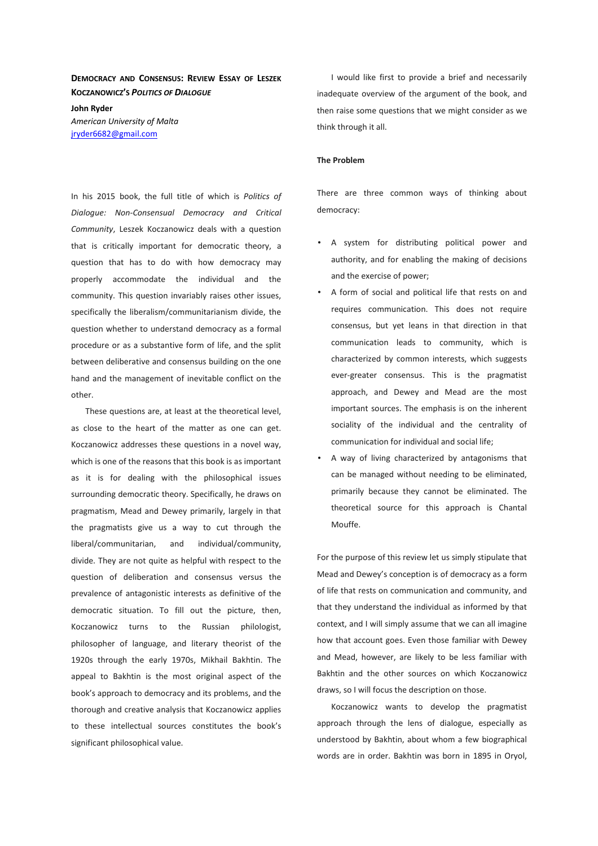## **DEMOCRACY AND CONSENSUS: REVIEW ESSAY OF LESZEK KOCZANOWICZ'S** *POLITICS OF DIALOGUE*

**John Ryder**  *American University of Malta*  jryder6682@gmail.com

In his 2015 book, the full title of which is *Politics of Dialogue: Non-Consensual Democracy and Critical Community*, Leszek Koczanowicz deals with a question that is critically important for democratic theory, a question that has to do with how democracy may properly accommodate the individual and the community. This question invariably raises other issues, specifically the liberalism/communitarianism divide, the question whether to understand democracy as a formal procedure or as a substantive form of life, and the split between deliberative and consensus building on the one hand and the management of inevitable conflict on the other.

These questions are, at least at the theoretical level, as close to the heart of the matter as one can get. Koczanowicz addresses these questions in a novel way, which is one of the reasons that this book is as important as it is for dealing with the philosophical issues surrounding democratic theory. Specifically, he draws on pragmatism, Mead and Dewey primarily, largely in that the pragmatists give us a way to cut through the liberal/communitarian, and individual/community, divide. They are not quite as helpful with respect to the question of deliberation and consensus versus the prevalence of antagonistic interests as definitive of the democratic situation. To fill out the picture, then, Koczanowicz turns to the Russian philologist, philosopher of language, and literary theorist of the 1920s through the early 1970s, Mikhail Bakhtin. The appeal to Bakhtin is the most original aspect of the book's approach to democracy and its problems, and the thorough and creative analysis that Koczanowicz applies to these intellectual sources constitutes the book's significant philosophical value.

I would like first to provide a brief and necessarily inadequate overview of the argument of the book, and then raise some questions that we might consider as we think through it all.

### **The Problem**

There are three common ways of thinking about democracy:

- A system for distributing political power and authority, and for enabling the making of decisions and the exercise of power;
- A form of social and political life that rests on and requires communication. This does not require consensus, but yet leans in that direction in that communication leads to community, which is characterized by common interests, which suggests ever-greater consensus. This is the pragmatist approach, and Dewey and Mead are the most important sources. The emphasis is on the inherent sociality of the individual and the centrality of communication for individual and social life;
- A way of living characterized by antagonisms that can be managed without needing to be eliminated, primarily because they cannot be eliminated. The theoretical source for this approach is Chantal Mouffe.

For the purpose of this review let us simply stipulate that Mead and Dewey's conception is of democracy as a form of life that rests on communication and community, and that they understand the individual as informed by that context, and I will simply assume that we can all imagine how that account goes. Even those familiar with Dewey and Mead, however, are likely to be less familiar with Bakhtin and the other sources on which Koczanowicz draws, so I will focus the description on those.

Koczanowicz wants to develop the pragmatist approach through the lens of dialogue, especially as understood by Bakhtin, about whom a few biographical words are in order. Bakhtin was born in 1895 in Oryol,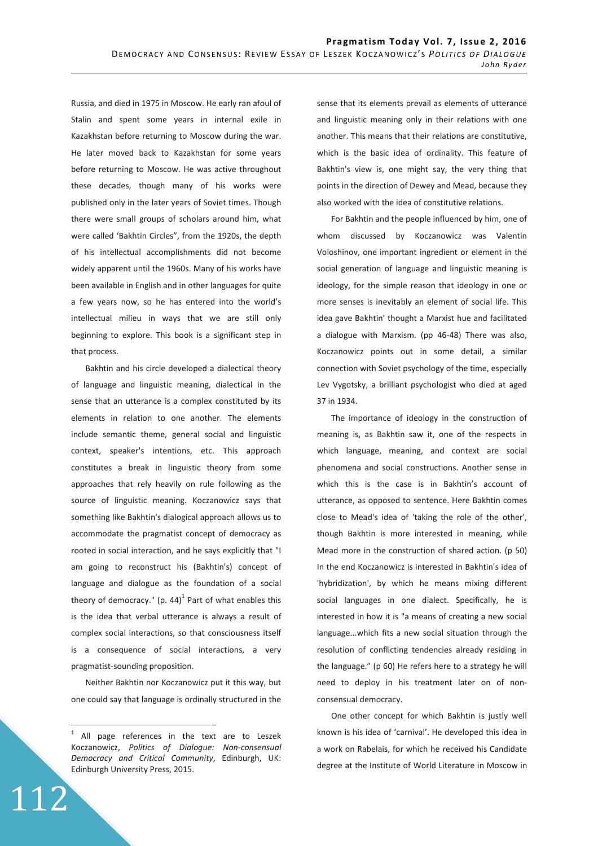Russia, and died in 1975 in Moscow. He early ran afoul of Stalin and spent some years in internal exile in Kazakhstan before returning to Moscow during the war. He later moved back to Kazakhstan for some years before returning to Moscow. He was active throughout these decades, though many of his works were published only in the later years of Soviet times. Though there were small groups of scholars around him, what were called 'Bakhtin Circles", from the 1920s, the depth of his intellectual accomplishments did not become widely apparent until the 1960s. Many of his works have been available in English and in other languages for quite a few years now, so he has entered into the world's intellectual milieu in ways that we are still only beginning to explore. This book is a significant step in that process.

Bakhtin and his circle developed a dialectical theory of language and linguistic meaning, dialectical in the sense that an utterance is a complex constituted by its elements in relation to one another. The elements include semantic theme, general social and linguistic context, speaker's intentions, etc. This approach constitutes a break in linguistic theory from some approaches that rely heavily on rule following as the source of linguistic meaning. Koczanowicz says that something like Bakhtin's dialogical approach allows us to accommodate the pragmatist concept of democracy as rooted in social interaction, and he says explicitly that "I am going to reconstruct his (Bakhtin's) concept of language and dialogue as the foundation of a social theory of democracy."  $(p. 44)^{1}$  Part of what enables this is the idea that verbal utterance is always a result of complex social interactions, so that consciousness itself is a consequence of social interactions, a very pragmatist-sounding proposition.

Neither Bakhtin nor Koczanowicz put it this way, but one could say that language is ordinally structured in the

112

 $\overline{a}$ 

sense that its elements prevail as elements of utterance and linguistic meaning only in their relations with one another. This means that their relations are constitutive, which is the basic idea of ordinality. This feature of Bakhtin's view is, one might say, the very thing that points in the direction of Dewey and Mead, because they also worked with the idea of constitutive relations.

For Bakhtin and the people influenced by him, one of whom discussed by Koczanowicz was Valentin Voloshinov, one important ingredient or element in the social generation of language and linguistic meaning is ideology, for the simple reason that ideology in one or more senses is inevitably an element of social life. This idea gave Bakhtin' thought a Marxist hue and facilitated a dialogue with Marxism. (pp 46-48) There was also, Koczanowicz points out in some detail, a similar connection with Soviet psychology of the time, especially Lev Vygotsky, a brilliant psychologist who died at aged 37 in 1934.

The importance of ideology in the construction of meaning is, as Bakhtin saw it, one of the respects in which language, meaning, and context are social phenomena and social constructions. Another sense in which this is the case is in Bakhtin's account of utterance, as opposed to sentence. Here Bakhtin comes close to Mead's idea of 'taking the role of the other', though Bakhtin is more interested in meaning, while Mead more in the construction of shared action. (p 50) In the end Koczanowicz is interested in Bakhtin's idea of 'hybridization', by which he means mixing different social languages in one dialect. Specifically, he is interested in how it is "a means of creating a new social language...which fits a new social situation through the resolution of conflicting tendencies already residing in the language." (p 60) He refers here to a strategy he will need to deploy in his treatment later on of nonconsensual democracy.

One other concept for which Bakhtin is justly well known is his idea of 'carnival'. He developed this idea in a work on Rabelais, for which he received his Candidate degree at the Institute of World Literature in Moscow in

 $1$  All page references in the text are to Leszek Koczanowicz, *Politics of Dialogue: Non-consensual Democracy and Critical Community*, Edinburgh, UK: Edinburgh University Press, 2015.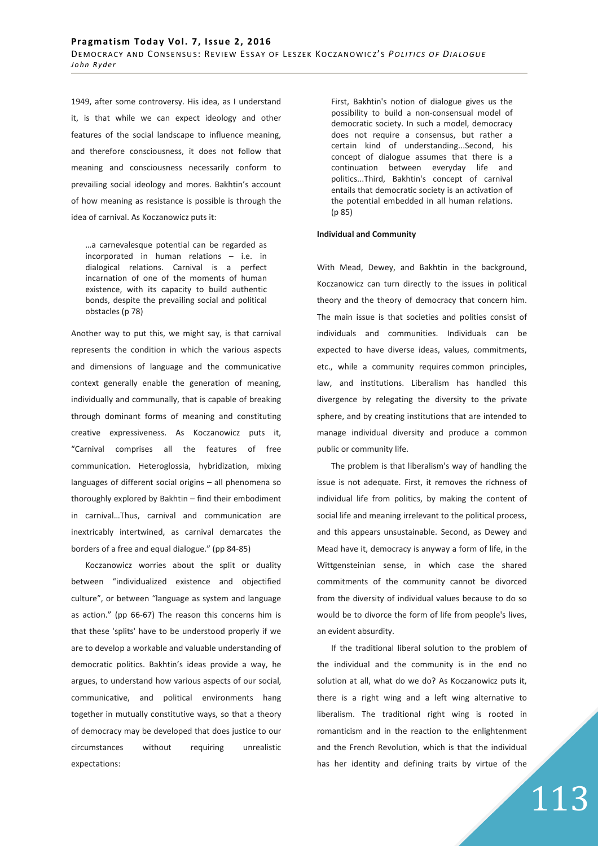1949, after some controversy. His idea, as I understand it, is that while we can expect ideology and other features of the social landscape to influence meaning, and therefore consciousness, it does not follow that meaning and consciousness necessarily conform to prevailing social ideology and mores. Bakhtin's account of how meaning as resistance is possible is through the idea of carnival. As Koczanowicz puts it:

…a carnevalesque potential can be regarded as incorporated in human relations – i.e. in dialogical relations. Carnival is a perfect incarnation of one of the moments of human existence, with its capacity to build authentic bonds, despite the prevailing social and political obstacles (p 78)

Another way to put this, we might say, is that carnival represents the condition in which the various aspects and dimensions of language and the communicative context generally enable the generation of meaning, individually and communally, that is capable of breaking through dominant forms of meaning and constituting creative expressiveness. As Koczanowicz puts it, "Carnival comprises all the features of free communication. Heteroglossia, hybridization, mixing languages of different social origins – all phenomena so thoroughly explored by Bakhtin – find their embodiment in carnival…Thus, carnival and communication are inextricably intertwined, as carnival demarcates the borders of a free and equal dialogue." (pp 84-85)

Koczanowicz worries about the split or duality between "individualized existence and objectified culture", or between "language as system and language as action." (pp 66-67) The reason this concerns him is that these 'splits' have to be understood properly if we are to develop a workable and valuable understanding of democratic politics. Bakhtin's ideas provide a way, he argues, to understand how various aspects of our social, communicative, and political environments hang together in mutually constitutive ways, so that a theory of democracy may be developed that does justice to our circumstances without requiring unrealistic expectations:

First, Bakhtin's notion of dialogue gives us the possibility to build a non-consensual model of democratic society. In such a model, democracy does not require a consensus, but rather a certain kind of understanding...Second, his concept of dialogue assumes that there is a continuation between everyday life and politics...Third, Bakhtin's concept of carnival entails that democratic society is an activation of the potential embedded in all human relations. (p 85)

### **Individual and Community**

With Mead, Dewey, and Bakhtin in the background, Koczanowicz can turn directly to the issues in political theory and the theory of democracy that concern him. The main issue is that societies and polities consist of individuals and communities. Individuals can be expected to have diverse ideas, values, commitments, etc., while a community requires common principles, law, and institutions. Liberalism has handled this divergence by relegating the diversity to the private sphere, and by creating institutions that are intended to manage individual diversity and produce a common public or community life.

The problem is that liberalism's way of handling the issue is not adequate. First, it removes the richness of individual life from politics, by making the content of social life and meaning irrelevant to the political process, and this appears unsustainable. Second, as Dewey and Mead have it, democracy is anyway a form of life, in the Wittgensteinian sense, in which case the shared commitments of the community cannot be divorced from the diversity of individual values because to do so would be to divorce the form of life from people's lives, an evident absurdity.

If the traditional liberal solution to the problem of the individual and the community is in the end no solution at all, what do we do? As Koczanowicz puts it, there is a right wing and a left wing alternative to liberalism. The traditional right wing is rooted in romanticism and in the reaction to the enlightenment and the French Revolution, which is that the individual has her identity and defining traits by virtue of the

# 113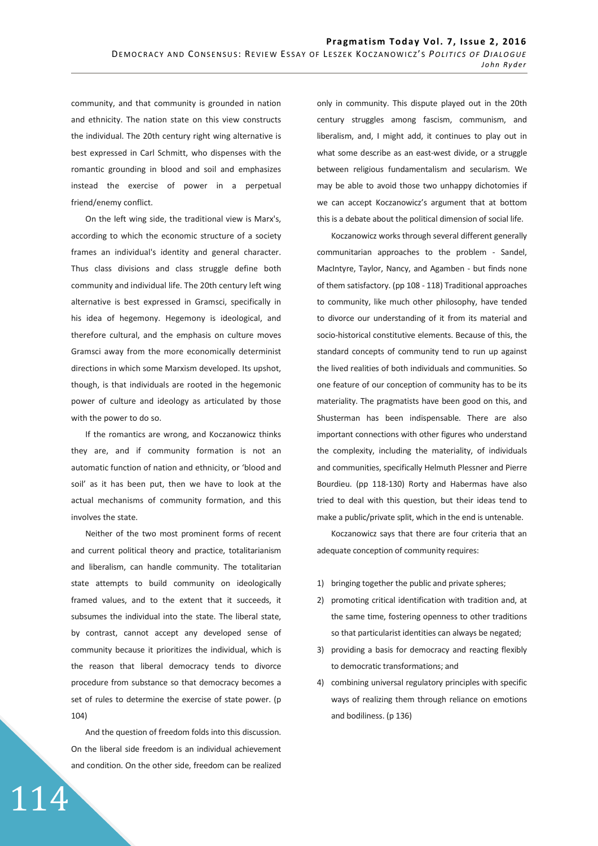community, and that community is grounded in nation and ethnicity. The nation state on this view constructs the individual. The 20th century right wing alternative is best expressed in Carl Schmitt, who dispenses with the romantic grounding in blood and soil and emphasizes instead the exercise of power in a perpetual friend/enemy conflict.

On the left wing side, the traditional view is Marx's, according to which the economic structure of a society frames an individual's identity and general character. Thus class divisions and class struggle define both community and individual life. The 20th century left wing alternative is best expressed in Gramsci, specifically in his idea of hegemony. Hegemony is ideological, and therefore cultural, and the emphasis on culture moves Gramsci away from the more economically determinist directions in which some Marxism developed. Its upshot, though, is that individuals are rooted in the hegemonic power of culture and ideology as articulated by those with the power to do so.

If the romantics are wrong, and Koczanowicz thinks they are, and if community formation is not an automatic function of nation and ethnicity, or 'blood and soil' as it has been put, then we have to look at the actual mechanisms of community formation, and this involves the state.

Neither of the two most prominent forms of recent and current political theory and practice, totalitarianism and liberalism, can handle community. The totalitarian state attempts to build community on ideologically framed values, and to the extent that it succeeds, it subsumes the individual into the state. The liberal state, by contrast, cannot accept any developed sense of community because it prioritizes the individual, which is the reason that liberal democracy tends to divorce procedure from substance so that democracy becomes a set of rules to determine the exercise of state power. (p 104)

And the question of freedom folds into this discussion. On the liberal side freedom is an individual achievement and condition. On the other side, freedom can be realized

114

only in community. This dispute played out in the 20th century struggles among fascism, communism, and liberalism, and, I might add, it continues to play out in what some describe as an east-west divide, or a struggle between religious fundamentalism and secularism. We may be able to avoid those two unhappy dichotomies if we can accept Koczanowicz's argument that at bottom this is a debate about the political dimension of social life.

Koczanowicz works through several different generally communitarian approaches to the problem - Sandel, MacIntyre, Taylor, Nancy, and Agamben - but finds none of them satisfactory. (pp 108 - 118) Traditional approaches to community, like much other philosophy, have tended to divorce our understanding of it from its material and socio-historical constitutive elements. Because of this, the standard concepts of community tend to run up against the lived realities of both individuals and communities. So one feature of our conception of community has to be its materiality. The pragmatists have been good on this, and Shusterman has been indispensable. There are also important connections with other figures who understand the complexity, including the materiality, of individuals and communities, specifically Helmuth Plessner and Pierre Bourdieu. (pp 118-130) Rorty and Habermas have also tried to deal with this question, but their ideas tend to make a public/private split, which in the end is untenable.

Koczanowicz says that there are four criteria that an adequate conception of community requires:

- 1) bringing together the public and private spheres;
- 2) promoting critical identification with tradition and, at the same time, fostering openness to other traditions so that particularist identities can always be negated;
- 3) providing a basis for democracy and reacting flexibly to democratic transformations; and
- 4) combining universal regulatory principles with specific ways of realizing them through reliance on emotions and bodiliness. (p 136)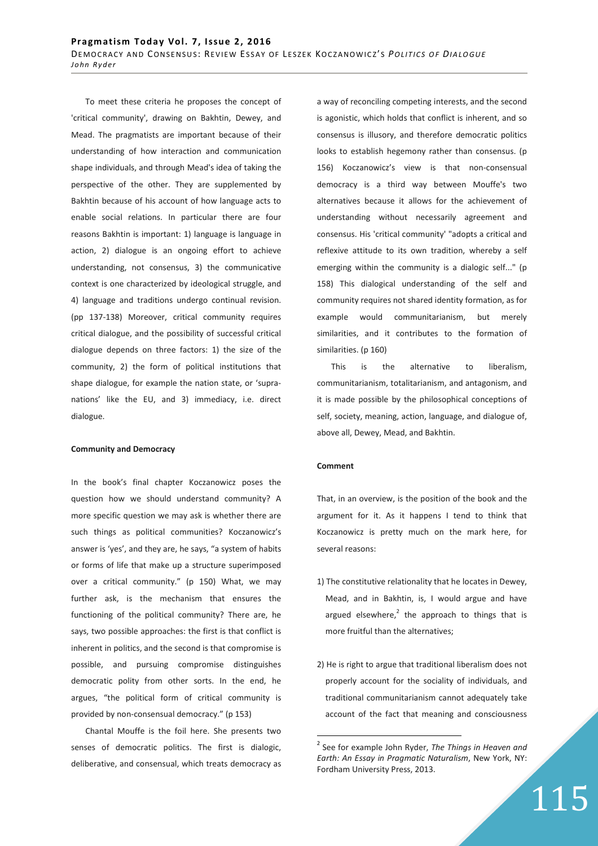To meet these criteria he proposes the concept of 'critical community', drawing on Bakhtin, Dewey, and Mead. The pragmatists are important because of their understanding of how interaction and communication shape individuals, and through Mead's idea of taking the perspective of the other. They are supplemented by Bakhtin because of his account of how language acts to enable social relations. In particular there are four reasons Bakhtin is important: 1) language is language in action, 2) dialogue is an ongoing effort to achieve understanding, not consensus, 3) the communicative context is one characterized by ideological struggle, and 4) language and traditions undergo continual revision. (pp 137-138) Moreover, critical community requires critical dialogue, and the possibility of successful critical dialogue depends on three factors: 1) the size of the community, 2) the form of political institutions that shape dialogue, for example the nation state, or 'supranations' like the EU, and 3) immediacy, i.e. direct dialogue.

### **Community and Democracy**

In the book's final chapter Koczanowicz poses the question how we should understand community? A more specific question we may ask is whether there are such things as political communities? Koczanowicz's answer is 'yes', and they are, he says, "a system of habits or forms of life that make up a structure superimposed over a critical community." (p 150) What, we may further ask, is the mechanism that ensures the functioning of the political community? There are, he says, two possible approaches: the first is that conflict is inherent in politics, and the second is that compromise is possible, and pursuing compromise distinguishes democratic polity from other sorts. In the end, he argues, "the political form of critical community is provided by non-consensual democracy." (p 153)

Chantal Mouffe is the foil here. She presents two senses of democratic politics. The first is dialogic, deliberative, and consensual, which treats democracy as a way of reconciling competing interests, and the second is agonistic, which holds that conflict is inherent, and so consensus is illusory, and therefore democratic politics looks to establish hegemony rather than consensus. (p 156) Koczanowicz's view is that non-consensual democracy is a third way between Mouffe's two alternatives because it allows for the achievement of understanding without necessarily agreement and consensus. His 'critical community' "adopts a critical and reflexive attitude to its own tradition, whereby a self emerging within the community is a dialogic self..." (p 158) This dialogical understanding of the self and community requires not shared identity formation, as for example would communitarianism, but merely similarities, and it contributes to the formation of similarities. (p 160)

This is the alternative to liberalism, communitarianism, totalitarianism, and antagonism, and it is made possible by the philosophical conceptions of self, society, meaning, action, language, and dialogue of, above all, Dewey, Mead, and Bakhtin.

## **Comment**

 $\overline{a}$ 

That, in an overview, is the position of the book and the argument for it. As it happens I tend to think that Koczanowicz is pretty much on the mark here, for several reasons:

- 1) The constitutive relationality that he locates in Dewey, Mead, and in Bakhtin, is, I would argue and have argued elsewhere, $2$  the approach to things that is more fruitful than the alternatives;
- 2) He is right to argue that traditional liberalism does not properly account for the sociality of individuals, and traditional communitarianism cannot adequately take account of the fact that meaning and consciousness

115

<sup>2</sup> See for example John Ryder, *The Things in Heaven and Earth: An Essay in Pragmatic Naturalism*, New York, NY: Fordham University Press, 2013.